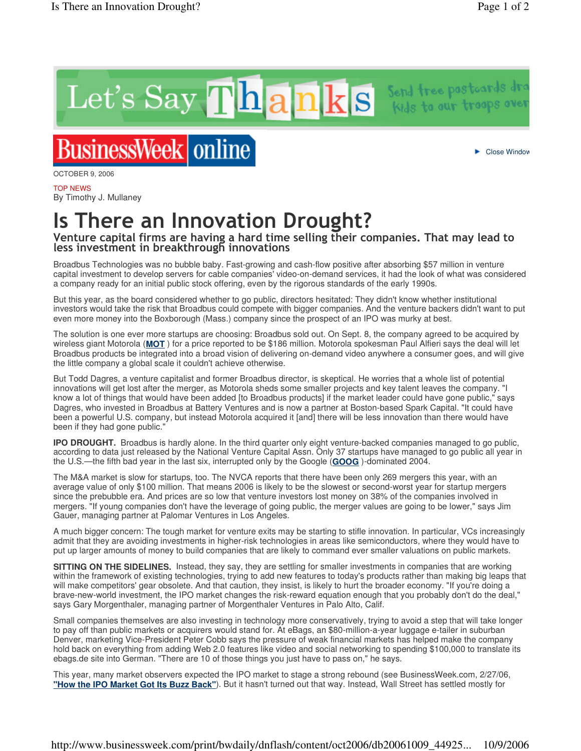Let's Say Thanks Send tree post-ards dra

## **BusinessWeek** online

OCTOBER 9, 2006

TOP NEWS By Timothy J. Mullaney

## Is There an Innovation Drought?

## Venture capital firms are having a hard time selling their companies. That may lead to less investment in breakthrough innovations

Broadbus Technologies was no bubble baby. Fast-growing and cash-flow positive after absorbing \$57 million in venture capital investment to develop servers for cable companies' video-on-demand services, it had the look of what was considered a company ready for an initial public stock offering, even by the rigorous standards of the early 1990s.

But this year, as the board considered whether to go public, directors hesitated: They didn't know whether institutional investors would take the risk that Broadbus could compete with bigger companies. And the venture backers didn't want to put even more money into the Boxborough (Mass.) company since the prospect of an IPO was murky at best.

The solution is one ever more startups are choosing: Broadbus sold out. On Sept. 8, the company agreed to be acquired by wireless giant Motorola (**MOT** ) for a price reported to be \$186 million. Motorola spokesman Paul Alfieri says the deal will let Broadbus products be integrated into a broad vision of delivering on-demand video anywhere a consumer goes, and will give the little company a global scale it couldn't achieve otherwise.

But Todd Dagres, a venture capitalist and former Broadbus director, is skeptical. He worries that a whole list of potential innovations will get lost after the merger, as Motorola sheds some smaller projects and key talent leaves the company. "I know a lot of things that would have been added [to Broadbus products] if the market leader could have gone public," says Dagres, who invested in Broadbus at Battery Ventures and is now a partner at Boston-based Spark Capital. "It could have been a powerful U.S. company, but instead Motorola acquired it [and] there will be less innovation than there would have been if they had gone public."

**IPO DROUGHT.** Broadbus is hardly alone. In the third quarter only eight venture-backed companies managed to go public, according to data just released by the National Venture Capital Assn. Only 37 startups have managed to go public all year in the U.S.—the fifth bad year in the last six, interrupted only by the Google (**GOOG** )-dominated 2004.

The M&A market is slow for startups, too. The NVCA reports that there have been only 269 mergers this year, with an average value of only \$100 million. That means 2006 is likely to be the slowest or second-worst year for startup mergers since the prebubble era. And prices are so low that venture investors lost money on 38% of the companies involved in mergers. "If young companies don't have the leverage of going public, the merger values are going to be lower," says Jim Gauer, managing partner at Palomar Ventures in Los Angeles.

A much bigger concern: The tough market for venture exits may be starting to stifle innovation. In particular, VCs increasingly admit that they are avoiding investments in higher-risk technologies in areas like semiconductors, where they would have to put up larger amounts of money to build companies that are likely to command ever smaller valuations on public markets.

**SITTING ON THE SIDELINES.** Instead, they say, they are settling for smaller investments in companies that are working within the framework of existing technologies, trying to add new features to today's products rather than making big leaps that will make competitors' gear obsolete. And that caution, they insist, is likely to hurt the broader economy. "If you're doing a brave-new-world investment, the IPO market changes the risk-reward equation enough that you probably don't do the deal," says Gary Morgenthaler, managing partner of Morgenthaler Ventures in Palo Alto, Calif.

Small companies themselves are also investing in technology more conservatively, trying to avoid a step that will take longer to pay off than public markets or acquirers would stand for. At eBags, an \$80-million-a-year luggage e-tailer in suburban Denver, marketing Vice-President Peter Cobb says the pressure of weak financial markets has helped make the company hold back on everything from adding Web 2.0 features like video and social networking to spending \$100,000 to translate its ebags.de site into German. "There are 10 of those things you just have to pass on," he says.

This year, many market observers expected the IPO market to stage a strong rebound (see BusinessWeek.com, 2/27/06, **"How the IPO Market Got Its Buzz Back"**). But it hasn't turned out that way. Instead, Wall Street has settled mostly for

Close Window